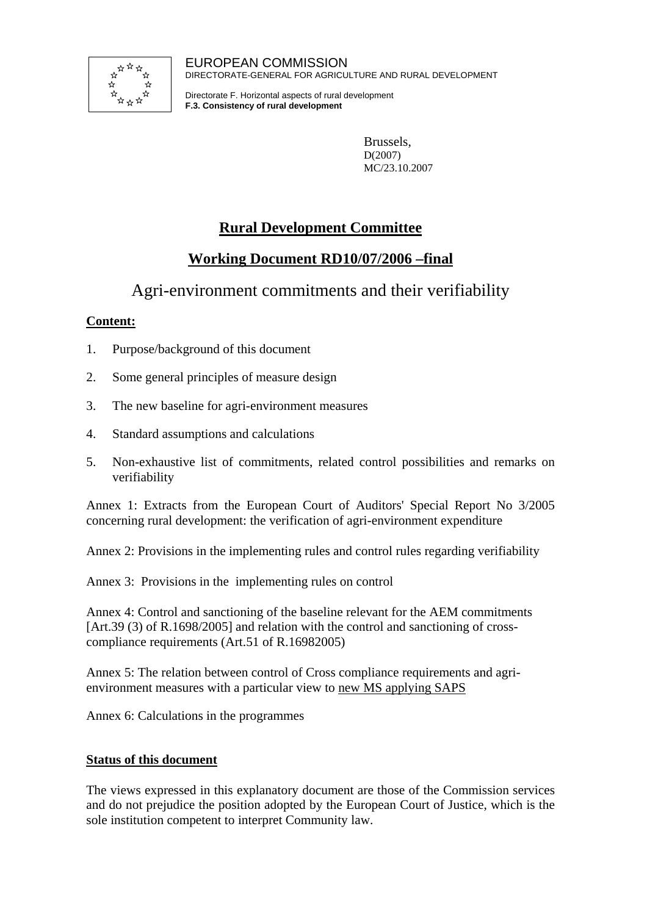

EUROPEAN COMMISSION DIRECTORATE-GENERAL FOR AGRICULTURE AND RURAL DEVELOPMENT

Directorate F. Horizontal aspects of rural development **F.3. Consistency of rural development**

> Brussels, D(2007) MC/23.10.2007

# **Rural Development Committee**

# **Working Document RD10/07/2006 –final**

Agri-environment commitments and their verifiability

# **Content:**

- 1. Purpose/background of this document
- 2. Some general principles of measure design
- 3. The new baseline for agri-environment measures
- 4. Standard assumptions and calculations
- 5. Non-exhaustive list of commitments, related control possibilities and remarks on verifiability

Annex 1: Extracts from the European Court of Auditors' Special Report No 3/2005 concerning rural development: the verification of agri-environment expenditure

Annex 2: Provisions in the implementing rules and control rules regarding verifiability

Annex 3: Provisions in the implementing rules on control

Annex 4: Control and sanctioning of the baseline relevant for the AEM commitments [Art.39 (3) of R.1698/2005] and relation with the control and sanctioning of crosscompliance requirements (Art.51 of R.16982005)

Annex 5: The relation between control of Cross compliance requirements and agrienvironment measures with a particular view to new MS applying SAPS

Annex 6: Calculations in the programmes

# **Status of this document**

The views expressed in this explanatory document are those of the Commission services and do not prejudice the position adopted by the European Court of Justice, which is the sole institution competent to interpret Community law.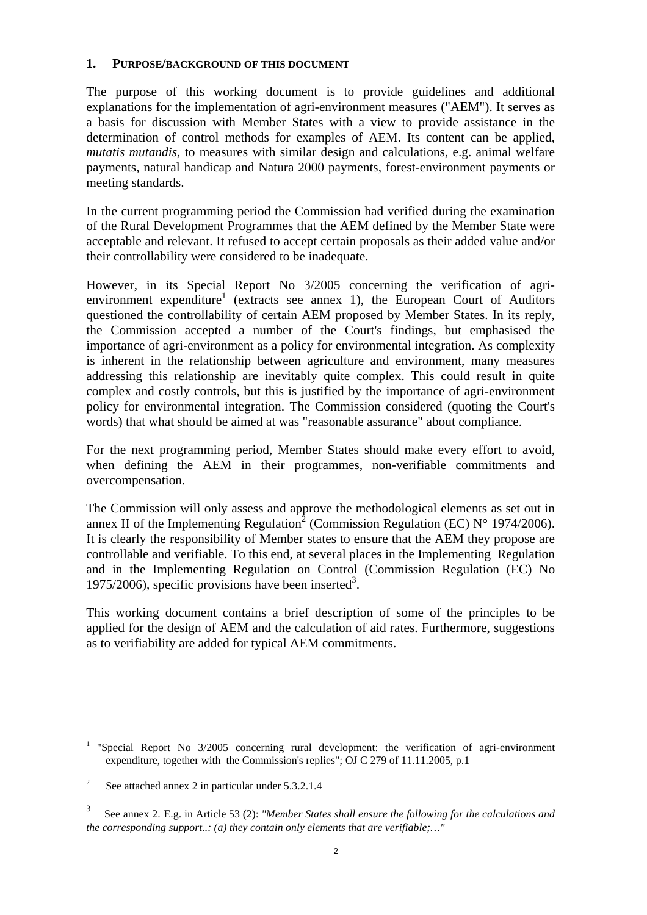### **1. PURPOSE/BACKGROUND OF THIS DOCUMENT**

The purpose of this working document is to provide guidelines and additional explanations for the implementation of agri-environment measures ("AEM"). It serves as a basis for discussion with Member States with a view to provide assistance in the determination of control methods for examples of AEM. Its content can be applied, *mutatis mutandis*, to measures with similar design and calculations, e.g. animal welfare payments, natural handicap and Natura 2000 payments, forest-environment payments or meeting standards.

In the current programming period the Commission had verified during the examination of the Rural Development Programmes that the AEM defined by the Member State were acceptable and relevant. It refused to accept certain proposals as their added value and/or their controllability were considered to be inadequate.

However, in its Special Report No 3/2005 concerning the verification of agrienvironment expenditure<sup>1</sup> (extracts see annex 1), the European Court of Auditors questioned the controllability of certain AEM proposed by Member States. In its reply, the Commission accepted a number of the Court's findings, but emphasised the importance of agri-environment as a policy for environmental integration. As complexity is inherent in the relationship between agriculture and environment, many measures addressing this relationship are inevitably quite complex. This could result in quite complex and costly controls, but this is justified by the importance of agri-environment policy for environmental integration. The Commission considered (quoting the Court's words) that what should be aimed at was "reasonable assurance" about compliance.

For the next programming period, Member States should make every effort to avoid, when defining the AEM in their programmes, non-verifiable commitments and overcompensation.

The Commission will only assess and approve the methodological elements as set out in annex II of the Implementing Regulation<sup>2</sup> (Commission Regulation (EC) N° 1974/2006). It is clearly the responsibility of Member states to ensure that the AEM they propose are controllable and verifiable. To this end, at several places in the Implementing Regulation and in the Implementing Regulation on Control (Commission Regulation (EC) No 1975/2006), specific provisions have been inserted<sup>3</sup>.

This working document contains a brief description of some of the principles to be applied for the design of AEM and the calculation of aid rates. Furthermore, suggestions as to verifiability are added for typical AEM commitments.

<sup>&</sup>lt;sup>1</sup> "Special Report No  $3/2005$  concerning rural development: the verification of agri-environment expenditure, together with the Commission's replies"; OJ C 279 of 11.11.2005, p.1

 $2<sup>2</sup>$ See attached annex 2 in particular under 5.3.2.1.4

<sup>3</sup> See annex 2. E.g. in Article 53 (2): *"Member States shall ensure the following for the calculations and the corresponding support..: (a) they contain only elements that are verifiable;…"*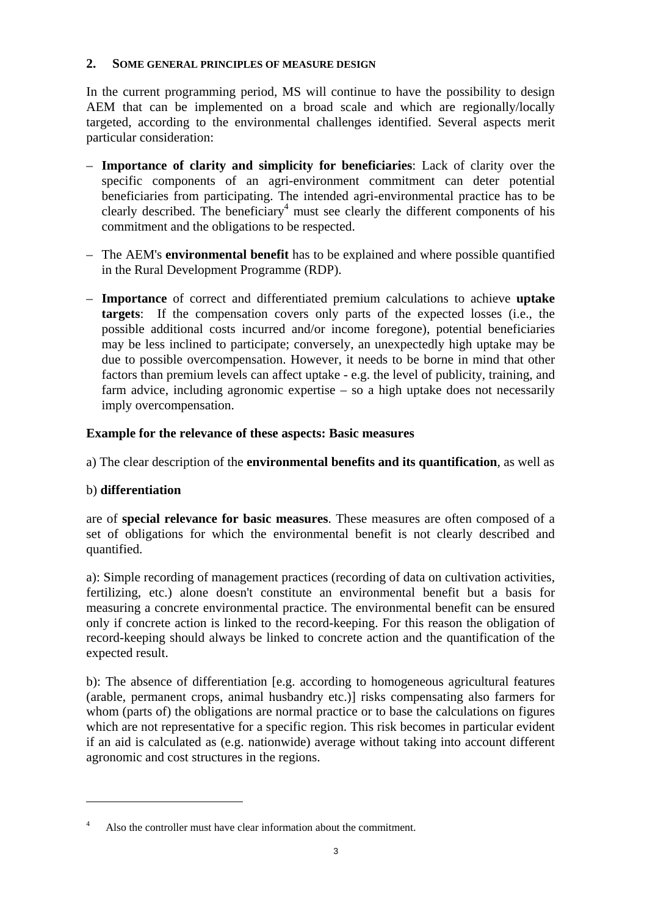### **2. SOME GENERAL PRINCIPLES OF MEASURE DESIGN**

In the current programming period, MS will continue to have the possibility to design AEM that can be implemented on a broad scale and which are regionally/locally targeted, according to the environmental challenges identified. Several aspects merit particular consideration:

- **Importance of clarity and simplicity for beneficiaries**: Lack of clarity over the specific components of an agri-environment commitment can deter potential beneficiaries from participating. The intended agri-environmental practice has to be clearly described. The beneficiary<sup>4</sup> must see clearly the different components of his commitment and the obligations to be respected.
- The AEM's **environmental benefit** has to be explained and where possible quantified in the Rural Development Programme (RDP).
- **Importance** of correct and differentiated premium calculations to achieve **uptake targets**: If the compensation covers only parts of the expected losses (i.e., the possible additional costs incurred and/or income foregone), potential beneficiaries may be less inclined to participate; conversely, an unexpectedly high uptake may be due to possible overcompensation. However, it needs to be borne in mind that other factors than premium levels can affect uptake - e.g. the level of publicity, training, and farm advice, including agronomic expertise – so a high uptake does not necessarily imply overcompensation.

# **Example for the relevance of these aspects: Basic measures**

a) The clear description of the **environmental benefits and its quantification**, as well as

# b) **differentiation**

 $\overline{a}$ 

are of **special relevance for basic measures**. These measures are often composed of a set of obligations for which the environmental benefit is not clearly described and quantified.

a): Simple recording of management practices (recording of data on cultivation activities, fertilizing, etc.) alone doesn't constitute an environmental benefit but a basis for measuring a concrete environmental practice. The environmental benefit can be ensured only if concrete action is linked to the record-keeping. For this reason the obligation of record-keeping should always be linked to concrete action and the quantification of the expected result.

b): The absence of differentiation [e.g. according to homogeneous agricultural features (arable, permanent crops, animal husbandry etc.)] risks compensating also farmers for whom (parts of) the obligations are normal practice or to base the calculations on figures which are not representative for a specific region. This risk becomes in particular evident if an aid is calculated as (e.g. nationwide) average without taking into account different agronomic and cost structures in the regions.

<sup>4</sup> Also the controller must have clear information about the commitment.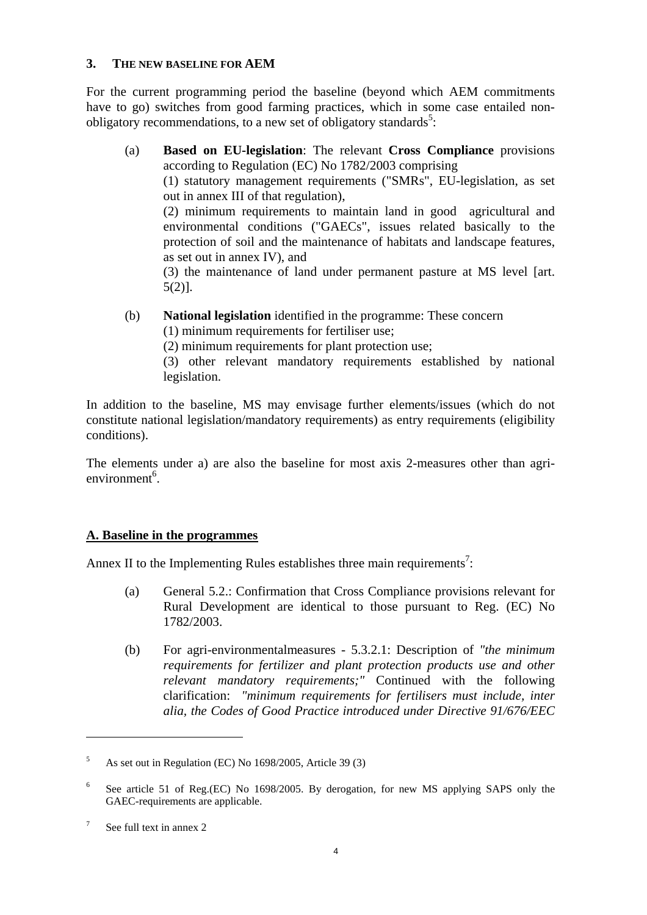## **3. THE NEW BASELINE FOR AEM**

For the current programming period the baseline (beyond which AEM commitments have to go) switches from good farming practices, which in some case entailed nonobligatory recommendations, to a new set of obligatory standards<sup>5</sup>:

(a) **Based on EU-legislation**: The relevant **Cross Compliance** provisions according to Regulation (EC) No 1782/2003 comprising (1) statutory management requirements ("SMRs", EU-legislation, as set out in annex III of that regulation), (2) minimum requirements to maintain land in good agricultural and environmental conditions ("GAECs", issues related basically to the protection of soil and the maintenance of habitats and landscape features, as set out in annex IV), and

(3) the maintenance of land under permanent pasture at MS level [art. 5(2)].

- (b) **National legislation** identified in the programme: These concern
	- (1) minimum requirements for fertiliser use;
	- (2) minimum requirements for plant protection use;

(3) other relevant mandatory requirements established by national legislation.

In addition to the baseline, MS may envisage further elements/issues (which do not constitute national legislation/mandatory requirements) as entry requirements (eligibility conditions).

The elements under a) are also the baseline for most axis 2-measures other than agrienvironment<sup>6</sup>.

# **A. Baseline in the programmes**

Annex II to the Implementing Rules establishes three main requirements<sup>7</sup>:

- (a) General 5.2.: Confirmation that Cross Compliance provisions relevant for Rural Development are identical to those pursuant to Reg. (EC) No 1782/2003.
- (b) For agri-environmentalmeasures 5.3.2.1: Description of *"the minimum requirements for fertilizer and plant protection products use and other relevant mandatory requirements;"* Continued with the following clarification: *"minimum requirements for fertilisers must include, inter alia, the Codes of Good Practice introduced under Directive 91/676/EEC*

<sup>5</sup> As set out in Regulation (EC) No 1698/2005, Article 39 (3)

<sup>6</sup> See article 51 of Reg.(EC) No 1698/2005. By derogation, for new MS applying SAPS only the GAEC-requirements are applicable.

<sup>7</sup> See full text in annex 2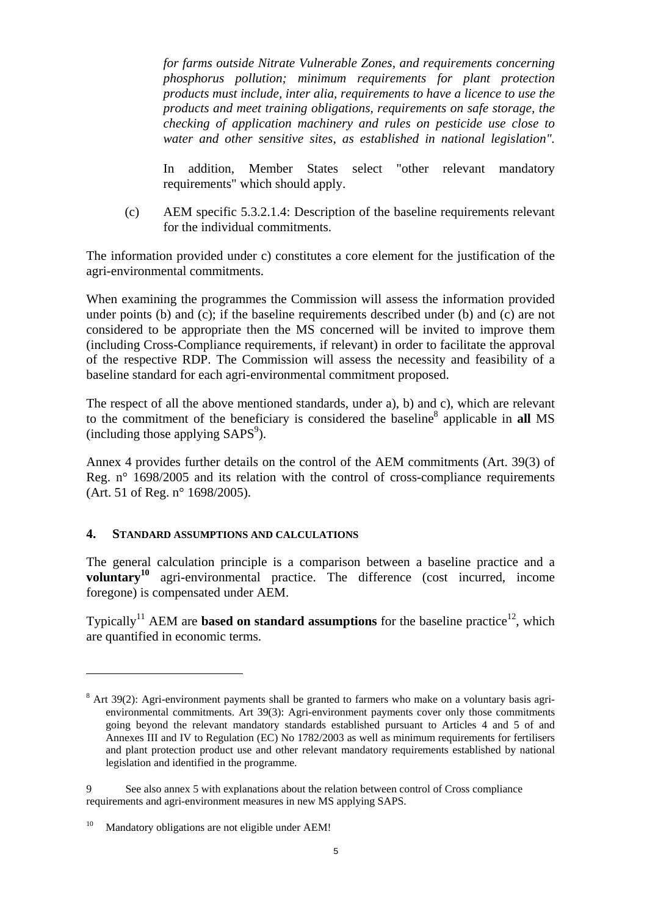*for farms outside Nitrate Vulnerable Zones, and requirements concerning phosphorus pollution; minimum requirements for plant protection products must include, inter alia, requirements to have a licence to use the products and meet training obligations, requirements on safe storage, the checking of application machinery and rules on pesticide use close to water and other sensitive sites, as established in national legislation".* 

In addition, Member States select "other relevant mandatory requirements" which should apply.

(c) AEM specific 5.3.2.1.4: Description of the baseline requirements relevant for the individual commitments.

The information provided under c) constitutes a core element for the justification of the agri-environmental commitments.

When examining the programmes the Commission will assess the information provided under points (b) and (c); if the baseline requirements described under (b) and (c) are not considered to be appropriate then the MS concerned will be invited to improve them (including Cross-Compliance requirements, if relevant) in order to facilitate the approval of the respective RDP. The Commission will assess the necessity and feasibility of a baseline standard for each agri-environmental commitment proposed.

The respect of all the above mentioned standards, under a), b) and c), which are relevant to the commitment of the beneficiary is considered the baseline<sup>8</sup> applicable in all MS  $(including those applying SAPS<sup>9</sup>).$ 

Annex 4 provides further details on the control of the AEM commitments (Art. 39(3) of Reg. n° 1698/2005 and its relation with the control of cross-compliance requirements (Art. 51 of Reg. n° 1698/2005).

### **4. STANDARD ASSUMPTIONS AND CALCULATIONS**

The general calculation principle is a comparison between a baseline practice and a **voluntary<sup>10</sup>** agri-environmental practice. The difference (cost incurred, income foregone) is compensated under AEM.

Typically<sup>11</sup> AEM are **based on standard assumptions** for the baseline practice<sup>12</sup>, which are quantified in economic terms.

 $8$  Art 39(2): Agri-environment payments shall be granted to farmers who make on a voluntary basis agrienvironmental commitments. Art 39(3): Agri-environment payments cover only those commitments going beyond the relevant mandatory standards established pursuant to Articles 4 and 5 of and Annexes III and IV to Regulation (EC) No 1782/2003 as well as minimum requirements for fertilisers and plant protection product use and other relevant mandatory requirements established by national legislation and identified in the programme.

<sup>9</sup> See also annex 5 with explanations about the relation between control of Cross compliance requirements and agri-environment measures in new MS applying SAPS.

<sup>&</sup>lt;sup>10</sup> Mandatory obligations are not eligible under AEM!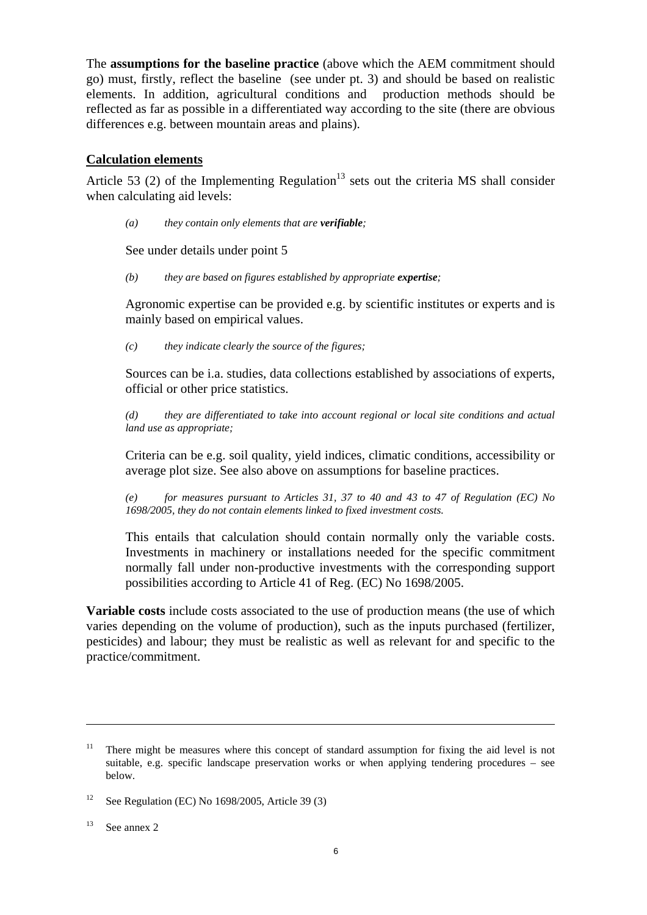The **assumptions for the baseline practice** (above which the AEM commitment should go) must, firstly, reflect the baseline (see under pt. 3) and should be based on realistic elements. In addition, agricultural conditions and production methods should be reflected as far as possible in a differentiated way according to the site (there are obvious differences e.g. between mountain areas and plains).

### **Calculation elements**

Article 53 (2) of the Implementing Regulation<sup>13</sup> sets out the criteria MS shall consider when calculating aid levels:

*(a) they contain only elements that are verifiable;* 

See under details under point 5

*(b) they are based on figures established by appropriate expertise;* 

Agronomic expertise can be provided e.g. by scientific institutes or experts and is mainly based on empirical values.

*(c) they indicate clearly the source of the figures;* 

Sources can be i.a. studies, data collections established by associations of experts, official or other price statistics.

*(d) they are differentiated to take into account regional or local site conditions and actual land use as appropriate;* 

Criteria can be e.g. soil quality, yield indices, climatic conditions, accessibility or average plot size. See also above on assumptions for baseline practices.

*(e) for measures pursuant to Articles 31, 37 to 40 and 43 to 47 of Regulation (EC) No 1698/2005, they do not contain elements linked to fixed investment costs.* 

This entails that calculation should contain normally only the variable costs. Investments in machinery or installations needed for the specific commitment normally fall under non-productive investments with the corresponding support possibilities according to Article 41 of Reg. (EC) No 1698/2005.

**Variable costs** include costs associated to the use of production means (the use of which varies depending on the volume of production), such as the inputs purchased (fertilizer, pesticides) and labour; they must be realistic as well as relevant for and specific to the practice/commitment.

 $13$  See annex 2

<sup>&</sup>lt;sup>11</sup> There might be measures where this concept of standard assumption for fixing the aid level is not suitable, e.g. specific landscape preservation works or when applying tendering procedures – see below.

<sup>&</sup>lt;sup>12</sup> See Regulation (EC) No 1698/2005, Article 39 (3)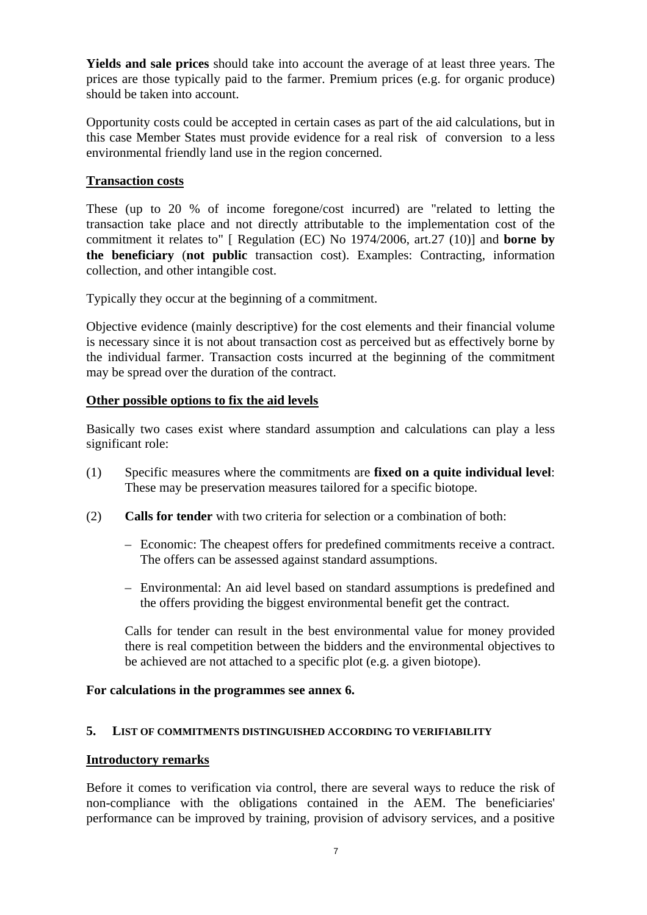**Yields and sale prices** should take into account the average of at least three years. The prices are those typically paid to the farmer. Premium prices (e.g. for organic produce) should be taken into account.

Opportunity costs could be accepted in certain cases as part of the aid calculations, but in this case Member States must provide evidence for a real risk of conversion to a less environmental friendly land use in the region concerned.

# **Transaction costs**

These (up to 20 % of income foregone/cost incurred) are "related to letting the transaction take place and not directly attributable to the implementation cost of the commitment it relates to" [ Regulation (EC) No 1974/2006, art.27 (10)] and **borne by the beneficiary** (**not public** transaction cost). Examples: Contracting, information collection, and other intangible cost.

Typically they occur at the beginning of a commitment.

Objective evidence (mainly descriptive) for the cost elements and their financial volume is necessary since it is not about transaction cost as perceived but as effectively borne by the individual farmer. Transaction costs incurred at the beginning of the commitment may be spread over the duration of the contract.

# **Other possible options to fix the aid levels**

Basically two cases exist where standard assumption and calculations can play a less significant role:

- (1) Specific measures where the commitments are **fixed on a quite individual level**: These may be preservation measures tailored for a specific biotope.
- (2) **Calls for tender** with two criteria for selection or a combination of both:
	- Economic: The cheapest offers for predefined commitments receive a contract. The offers can be assessed against standard assumptions.
	- Environmental: An aid level based on standard assumptions is predefined and the offers providing the biggest environmental benefit get the contract.

Calls for tender can result in the best environmental value for money provided there is real competition between the bidders and the environmental objectives to be achieved are not attached to a specific plot (e.g. a given biotope).

### **For calculations in the programmes see annex 6.**

### **5. LIST OF COMMITMENTS DISTINGUISHED ACCORDING TO VERIFIABILITY**

### **Introductory remarks**

Before it comes to verification via control, there are several ways to reduce the risk of non-compliance with the obligations contained in the AEM. The beneficiaries' performance can be improved by training, provision of advisory services, and a positive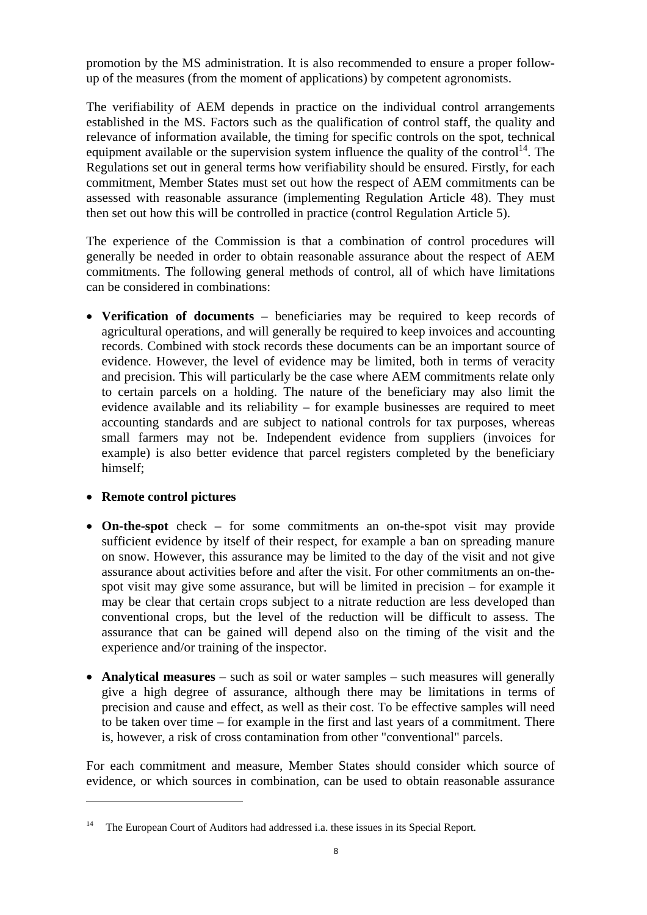promotion by the MS administration. It is also recommended to ensure a proper followup of the measures (from the moment of applications) by competent agronomists.

The verifiability of AEM depends in practice on the individual control arrangements established in the MS. Factors such as the qualification of control staff, the quality and relevance of information available, the timing for specific controls on the spot, technical equipment available or the supervision system influence the quality of the control<sup>14</sup>. The Regulations set out in general terms how verifiability should be ensured. Firstly, for each commitment, Member States must set out how the respect of AEM commitments can be assessed with reasonable assurance (implementing Regulation Article 48). They must then set out how this will be controlled in practice (control Regulation Article 5).

The experience of the Commission is that a combination of control procedures will generally be needed in order to obtain reasonable assurance about the respect of AEM commitments. The following general methods of control, all of which have limitations can be considered in combinations:

• **Verification of documents** – beneficiaries may be required to keep records of agricultural operations, and will generally be required to keep invoices and accounting records. Combined with stock records these documents can be an important source of evidence. However, the level of evidence may be limited, both in terms of veracity and precision. This will particularly be the case where AEM commitments relate only to certain parcels on a holding. The nature of the beneficiary may also limit the evidence available and its reliability – for example businesses are required to meet accounting standards and are subject to national controls for tax purposes, whereas small farmers may not be. Independent evidence from suppliers (invoices for example) is also better evidence that parcel registers completed by the beneficiary himself;

# • **Remote control pictures**

 $\overline{a}$ 

- **On-the-spot** check for some commitments an on-the-spot visit may provide sufficient evidence by itself of their respect, for example a ban on spreading manure on snow. However, this assurance may be limited to the day of the visit and not give assurance about activities before and after the visit. For other commitments an on-thespot visit may give some assurance, but will be limited in precision – for example it may be clear that certain crops subject to a nitrate reduction are less developed than conventional crops, but the level of the reduction will be difficult to assess. The assurance that can be gained will depend also on the timing of the visit and the experience and/or training of the inspector.
- **Analytical measures** such as soil or water samples such measures will generally give a high degree of assurance, although there may be limitations in terms of precision and cause and effect, as well as their cost. To be effective samples will need to be taken over time – for example in the first and last years of a commitment. There is, however, a risk of cross contamination from other "conventional" parcels.

For each commitment and measure, Member States should consider which source of evidence, or which sources in combination, can be used to obtain reasonable assurance

<sup>&</sup>lt;sup>14</sup> The European Court of Auditors had addressed i.a. these issues in its Special Report.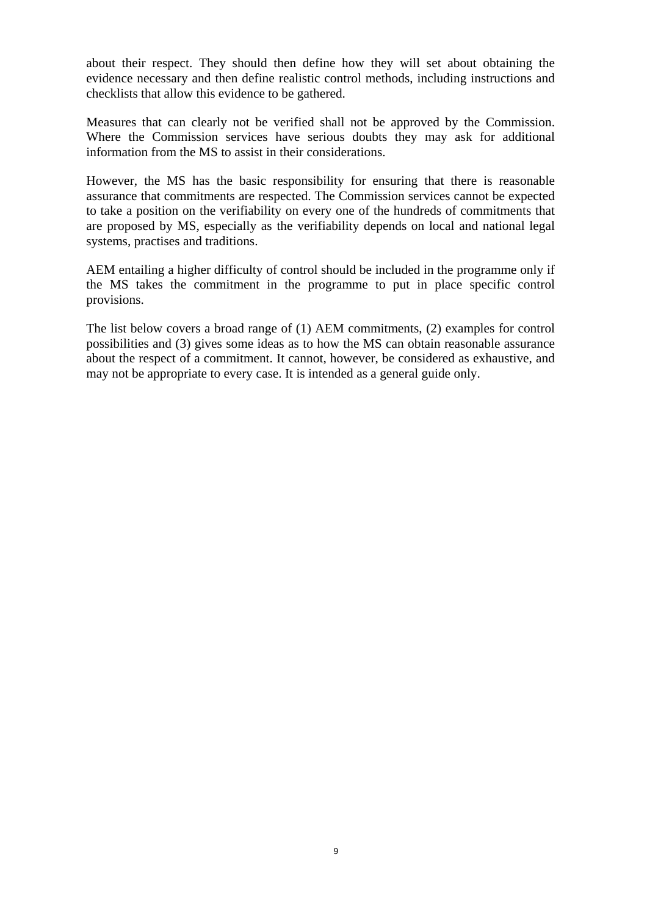about their respect. They should then define how they will set about obtaining the evidence necessary and then define realistic control methods, including instructions and checklists that allow this evidence to be gathered.

Measures that can clearly not be verified shall not be approved by the Commission. Where the Commission services have serious doubts they may ask for additional information from the MS to assist in their considerations.

However, the MS has the basic responsibility for ensuring that there is reasonable assurance that commitments are respected. The Commission services cannot be expected to take a position on the verifiability on every one of the hundreds of commitments that are proposed by MS, especially as the verifiability depends on local and national legal systems, practises and traditions.

AEM entailing a higher difficulty of control should be included in the programme only if the MS takes the commitment in the programme to put in place specific control provisions.

The list below covers a broad range of (1) AEM commitments, (2) examples for control possibilities and (3) gives some ideas as to how the MS can obtain reasonable assurance about the respect of a commitment. It cannot, however, be considered as exhaustive, and may not be appropriate to every case. It is intended as a general guide only.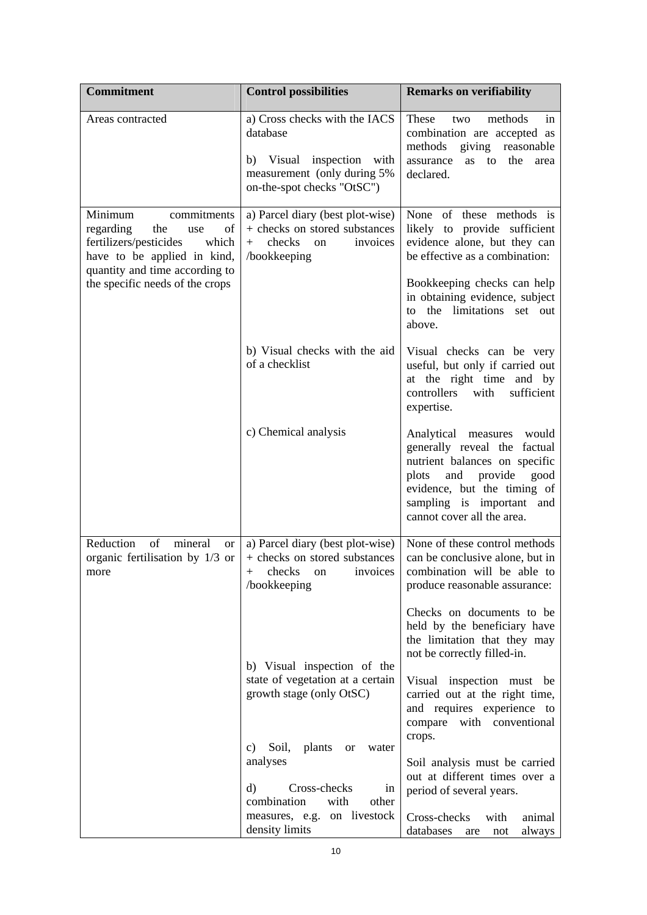| <b>Commitment</b>                                                                                                                                                                              | <b>Control possibilities</b>                                                                                                        | <b>Remarks on verifiability</b>                                                                                                                                                                                                     |
|------------------------------------------------------------------------------------------------------------------------------------------------------------------------------------------------|-------------------------------------------------------------------------------------------------------------------------------------|-------------------------------------------------------------------------------------------------------------------------------------------------------------------------------------------------------------------------------------|
| Areas contracted                                                                                                                                                                               | a) Cross checks with the IACS<br>database<br>b) Visual inspection with<br>measurement (only during 5%<br>on-the-spot checks "OtSC") | These<br>methods<br>two<br>in<br>combination are accepted as<br>methods giving<br>reasonable<br>assurance<br>the<br>as<br>to<br>area<br>declared.                                                                                   |
| Minimum<br>commitments<br>regarding<br>the<br>use<br>οf<br>fertilizers/pesticides<br>which<br>have to be applied in kind,<br>quantity and time according to<br>the specific needs of the crops | a) Parcel diary (best plot-wise)<br>+ checks on stored substances<br>checks<br>invoices<br>$+$<br><sub>on</sub><br>/bookkeeping     | None of these methods is<br>likely to provide sufficient<br>evidence alone, but they can<br>be effective as a combination:<br>Bookkeeping checks can help<br>in obtaining evidence, subject<br>to the limitations set out<br>above. |
|                                                                                                                                                                                                | b) Visual checks with the aid<br>of a checklist                                                                                     | Visual checks can be very<br>useful, but only if carried out<br>at the right time and by<br>controllers with<br>sufficient<br>expertise.                                                                                            |
|                                                                                                                                                                                                | c) Chemical analysis                                                                                                                | Analytical measures would<br>generally reveal the factual<br>nutrient balances on specific<br>provide<br>plots<br>and<br>good<br>evidence, but the timing of<br>sampling is important<br>and<br>cannot cover all the area.          |
| Reduction<br>of<br>mineral<br><sub>or</sub><br>organic fertilisation by 1/3 or<br>more                                                                                                         | a) Parcel diary (best plot-wise)<br>+ checks on stored substances<br>checks on invoices<br>$^{+}$<br>/bookkeeping                   | None of these control methods<br>can be conclusive alone, but in<br>combination will be able to<br>produce reasonable assurance:                                                                                                    |
|                                                                                                                                                                                                | b) Visual inspection of the                                                                                                         | Checks on documents to be<br>held by the beneficiary have<br>the limitation that they may<br>not be correctly filled-in.                                                                                                            |
|                                                                                                                                                                                                | state of vegetation at a certain<br>growth stage (only OtSC)<br>Soil,<br>plants<br>C)<br>water<br>or                                | Visual inspection must be<br>carried out at the right time,<br>and requires experience to<br>compare<br>with conventional<br>crops.                                                                                                 |
|                                                                                                                                                                                                | analyses<br>$\rm d$<br>Cross-checks<br>1n<br>combination<br>with<br>other<br>measures, e.g. on livestock                            | Soil analysis must be carried<br>out at different times over a<br>period of several years.<br>Cross-checks<br>with<br>animal                                                                                                        |
|                                                                                                                                                                                                | density limits                                                                                                                      | databases<br>always<br>are<br>not                                                                                                                                                                                                   |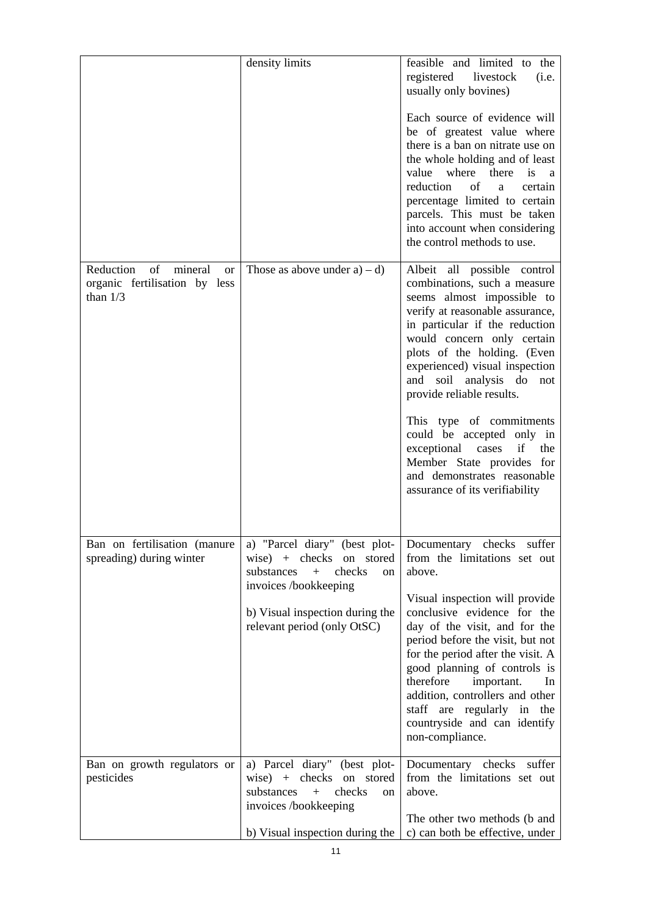|                                                                                        | density limits                                                                                                                                                                            | feasible and limited to the<br>registered<br>livestock<br>(i.e.<br>usually only bovines)<br>Each source of evidence will<br>be of greatest value where<br>there is a ban on nitrate use on<br>the whole holding and of least<br>where<br>value<br>there<br>is<br><sub>a</sub><br>reduction<br>of<br>a<br>certain<br>percentage limited to certain<br>parcels. This must be taken<br>into account when considering<br>the control methods to use.                                                                         |
|----------------------------------------------------------------------------------------|-------------------------------------------------------------------------------------------------------------------------------------------------------------------------------------------|--------------------------------------------------------------------------------------------------------------------------------------------------------------------------------------------------------------------------------------------------------------------------------------------------------------------------------------------------------------------------------------------------------------------------------------------------------------------------------------------------------------------------|
| Reduction<br>of<br>mineral<br><b>or</b><br>organic fertilisation by less<br>than $1/3$ | Those as above under $a$ ) – d)                                                                                                                                                           | Albeit all possible control<br>combinations, such a measure<br>seems almost impossible to<br>verify at reasonable assurance,<br>in particular if the reduction<br>would concern only certain<br>plots of the holding. (Even<br>experienced) visual inspection<br>and<br>soil<br>analysis do<br>not<br>provide reliable results.<br>This type of commitments<br>could be accepted only in<br>if<br>the<br>exceptional cases<br>Member State provides for<br>and demonstrates reasonable<br>assurance of its verifiability |
| Ban on fertilisation (manure<br>spreading) during winter                               | a) "Parcel diary" (best plot-<br>wise) + checks on stored<br>substances<br>$+$<br>checks<br>on<br>invoices /bookkeeping<br>b) Visual inspection during the<br>relevant period (only OtSC) | Documentary checks suffer<br>from the limitations set out<br>above.<br>Visual inspection will provide<br>conclusive evidence for the<br>day of the visit, and for the<br>period before the visit, but not<br>for the period after the visit. A<br>good planning of controls is<br>therefore<br>important.<br>In<br>addition, controllers and other<br>staff are regularly in the<br>countryside and can identify<br>non-compliance.                                                                                      |
| Ban on growth regulators or<br>pesticides                                              | a) Parcel diary" (best plot-<br>wise) $+$ checks<br>on stored<br>substances<br>checks<br>$+$<br>on<br>invoices /bookkeeping<br>b) Visual inspection during the                            | Documentary checks suffer<br>from the limitations set out<br>above.<br>The other two methods (b and<br>c) can both be effective, under                                                                                                                                                                                                                                                                                                                                                                                   |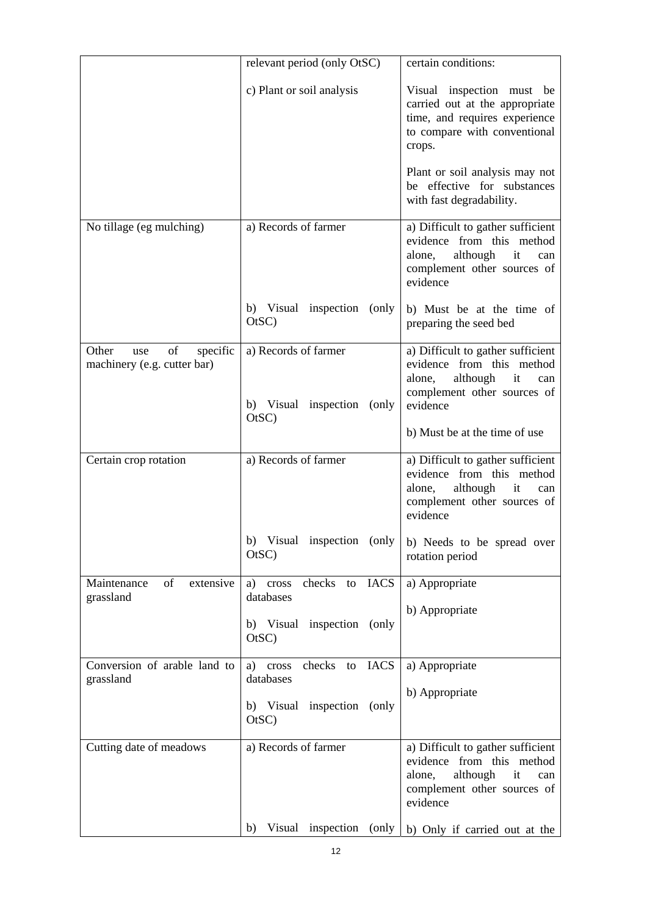|                                                               | relevant period (only OtSC)                        | certain conditions:                                                                                                                          |
|---------------------------------------------------------------|----------------------------------------------------|----------------------------------------------------------------------------------------------------------------------------------------------|
|                                                               | c) Plant or soil analysis                          | Visual inspection must be<br>carried out at the appropriate<br>time, and requires experience<br>to compare with conventional<br>crops.       |
|                                                               |                                                    | Plant or soil analysis may not<br>be effective for substances<br>with fast degradability.                                                    |
| No tillage (eg mulching)                                      | a) Records of farmer                               | a) Difficult to gather sufficient<br>evidence from this method<br>although<br>it<br>alone,<br>can<br>complement other sources of<br>evidence |
|                                                               | b) Visual inspection (only<br>OtSC                 | b) Must be at the time of<br>preparing the seed bed                                                                                          |
| of<br>Other<br>specific<br>use<br>machinery (e.g. cutter bar) | a) Records of farmer<br>b) Visual inspection (only | a) Difficult to gather sufficient<br>evidence from this method<br>although<br>alone,<br>it<br>can<br>complement other sources of<br>evidence |
|                                                               | OtSC                                               | b) Must be at the time of use                                                                                                                |
| Certain crop rotation                                         | a) Records of farmer                               | a) Difficult to gather sufficient<br>evidence from this method<br>although<br>alone,<br>it<br>can<br>complement other sources of<br>evidence |
|                                                               | b) Visual inspection (only<br>OtSC                 | b) Needs to be spread over<br>rotation period                                                                                                |
| of<br>Maintenance<br>extensive<br>grassland                   | checks to<br><b>IACS</b><br>a) cross<br>databases  | a) Appropriate<br>b) Appropriate                                                                                                             |
|                                                               | b) Visual inspection (only<br>OtSC)                |                                                                                                                                              |
| Conversion of arable land to<br>grassland                     | checks to<br><b>IACS</b><br>a) cross<br>databases  | a) Appropriate<br>b) Appropriate                                                                                                             |
|                                                               | b) Visual inspection (only<br>OtSC)                |                                                                                                                                              |
| Cutting date of meadows                                       | a) Records of farmer                               | a) Difficult to gather sufficient<br>evidence from this method<br>alone,<br>although<br>it<br>can<br>complement other sources of<br>evidence |
|                                                               | Visual inspection<br>(only)<br>b)                  | b) Only if carried out at the                                                                                                                |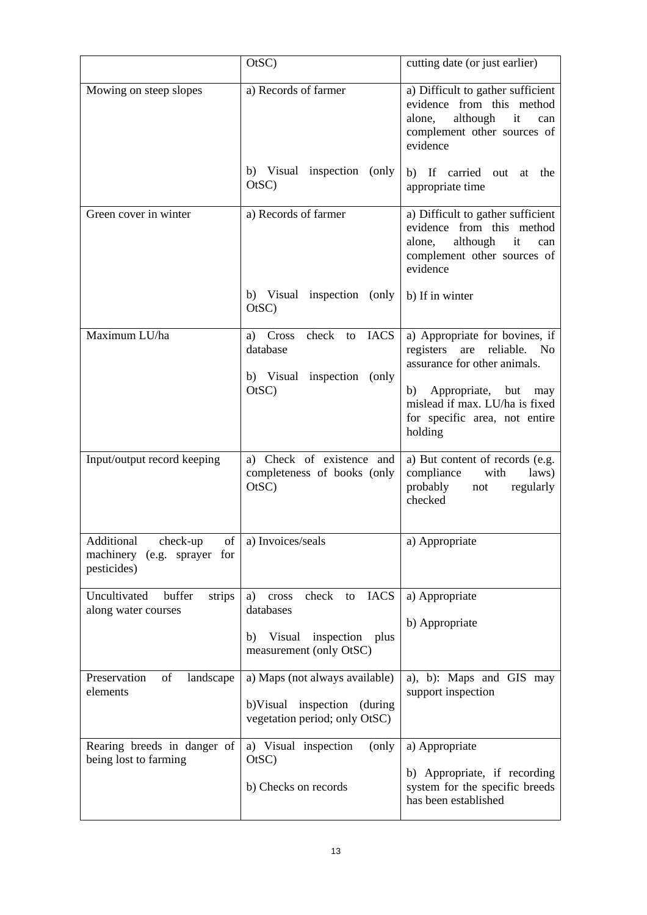|                                                                         | OtSC)                                                                                                                | cutting date (or just earlier)                                                                                                                                                                                             |
|-------------------------------------------------------------------------|----------------------------------------------------------------------------------------------------------------------|----------------------------------------------------------------------------------------------------------------------------------------------------------------------------------------------------------------------------|
| Mowing on steep slopes                                                  | a) Records of farmer                                                                                                 | a) Difficult to gather sufficient<br>evidence from this method<br>although<br>alone,<br>it<br>can<br>complement other sources of<br>evidence                                                                               |
|                                                                         | b) Visual inspection (only<br>OtSC                                                                                   | b) If carried out<br>at<br>the<br>appropriate time                                                                                                                                                                         |
| Green cover in winter                                                   | a) Records of farmer                                                                                                 | a) Difficult to gather sufficient<br>evidence from this method<br>although<br>it<br>alone,<br>can<br>complement other sources of<br>evidence                                                                               |
|                                                                         | b) Visual inspection (only<br>OtSC)                                                                                  | b) If in winter                                                                                                                                                                                                            |
| Maximum LU/ha                                                           | a) Cross check to<br><b>IACS</b><br>database<br>b) Visual inspection (only<br>OtSC                                   | a) Appropriate for bovines, if<br>registers are reliable.<br>N <sub>0</sub><br>assurance for other animals.<br>Appropriate, but<br>b)<br>may<br>mislead if max. LU/ha is fixed<br>for specific area, not entire<br>holding |
| Input/output record keeping                                             | a) Check of existence and<br>completeness of books (only<br>OtSC)                                                    | a) But content of records (e.g.<br>compliance<br>with<br>laws)<br>probably<br>regularly<br>not<br>checked                                                                                                                  |
| of<br>Additional check-up<br>machinery (e.g. sprayer for<br>pesticides) | a) Invoices/seals                                                                                                    | a) Appropriate                                                                                                                                                                                                             |
| Uncultivated<br>buffer<br>strips<br>along water courses                 | check<br><b>IACS</b><br>cross<br>to<br>a)<br>databases<br>inspection plus<br>Visual<br>b)<br>measurement (only OtSC) | a) Appropriate<br>b) Appropriate                                                                                                                                                                                           |
| Preservation<br>of<br>landscape<br>elements                             | a) Maps (not always available)<br>b)Visual inspection (during<br>vegetation period; only OtSC)                       | a), b): Maps and GIS may<br>support inspection                                                                                                                                                                             |
| Rearing breeds in danger of<br>being lost to farming                    | a) Visual inspection<br>(only)<br>OtSC)<br>b) Checks on records                                                      | a) Appropriate<br>b) Appropriate, if recording<br>system for the specific breeds<br>has been established                                                                                                                   |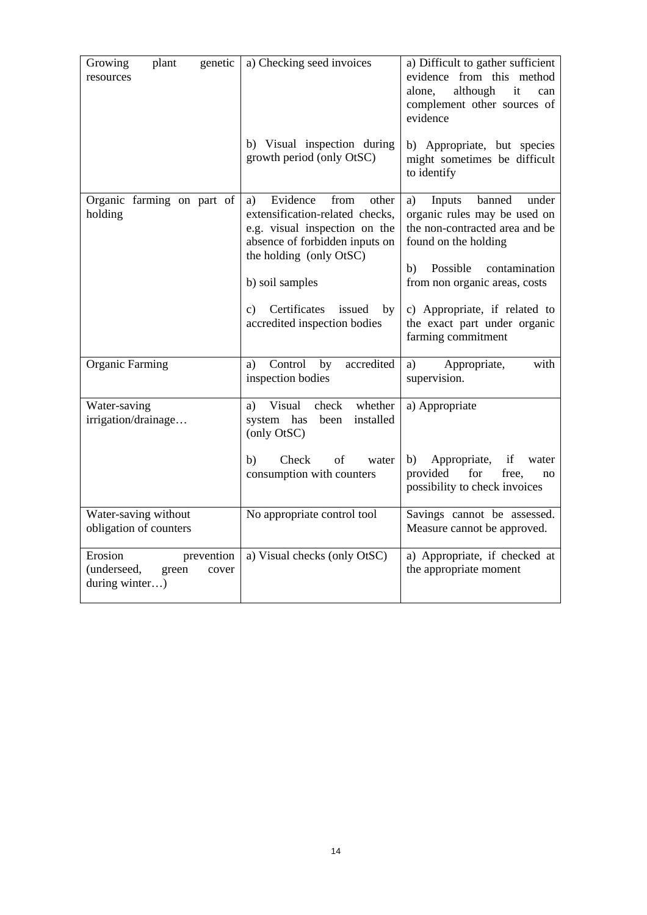| plant<br>Growing<br>genetic<br>resources                                 | a) Checking seed invoices                                                                                                                                                           | a) Difficult to gather sufficient<br>evidence from this method<br>alone,<br>although<br>it<br>can<br>complement other sources of<br>evidence                                                  |
|--------------------------------------------------------------------------|-------------------------------------------------------------------------------------------------------------------------------------------------------------------------------------|-----------------------------------------------------------------------------------------------------------------------------------------------------------------------------------------------|
|                                                                          | b) Visual inspection during<br>growth period (only OtSC)                                                                                                                            | b) Appropriate, but species<br>might sometimes be difficult<br>to identify                                                                                                                    |
| Organic farming on part of<br>holding                                    | Evidence<br>from<br>other<br>a)<br>extensification-related checks,<br>e.g. visual inspection on the<br>absence of forbidden inputs on<br>the holding (only OtSC)<br>b) soil samples | banned<br>Inputs<br>a)<br>under<br>organic rules may be used on<br>the non-contracted area and be<br>found on the holding<br>Possible<br>contamination<br>b)<br>from non organic areas, costs |
|                                                                          | Certificates<br>c)<br>issued<br>by<br>accredited inspection bodies                                                                                                                  | c) Appropriate, if related to<br>the exact part under organic<br>farming commitment                                                                                                           |
| <b>Organic Farming</b>                                                   | accredited<br>Control<br>by<br>a)<br>inspection bodies                                                                                                                              | Appropriate,<br>with<br>a)<br>supervision.                                                                                                                                                    |
| Water-saving<br>irrigation/drainage                                      | Visual<br>check<br>whether<br>a)<br>system has<br>been<br>installed<br>(only OtSC)                                                                                                  | a) Appropriate                                                                                                                                                                                |
|                                                                          | Check<br>b)<br>of<br>water<br>consumption with counters                                                                                                                             | if<br>b)<br>Appropriate,<br>water<br>provided<br>for<br>free,<br>no<br>possibility to check invoices                                                                                          |
| Water-saving without<br>obligation of counters                           | No appropriate control tool                                                                                                                                                         | Savings cannot be assessed.<br>Measure cannot be approved.                                                                                                                                    |
| Erosion<br>prevention<br>(underseed,<br>green<br>cover<br>during winter) | a) Visual checks (only OtSC)                                                                                                                                                        | a) Appropriate, if checked at<br>the appropriate moment                                                                                                                                       |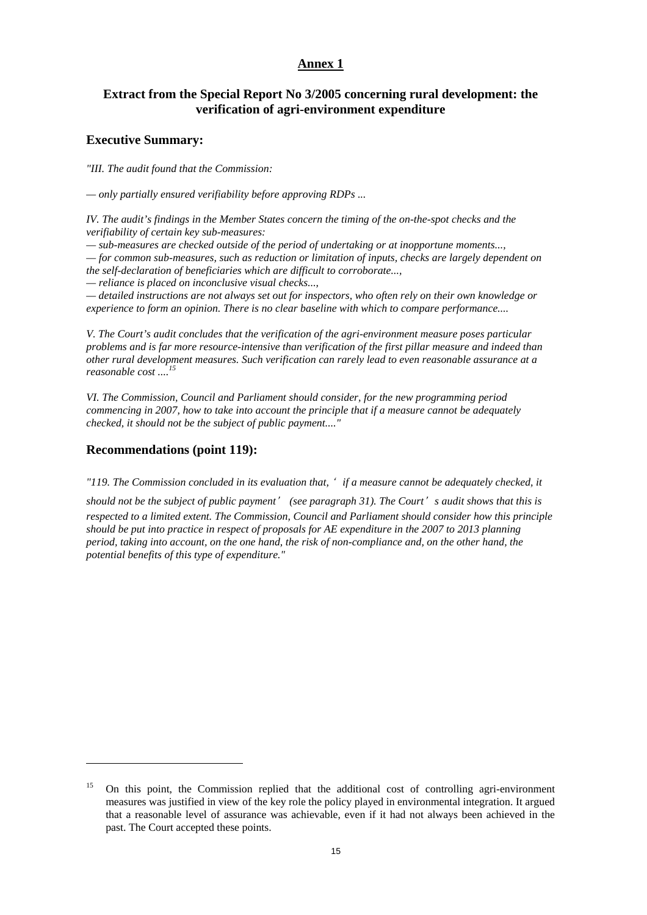### **Extract from the Special Report No 3/2005 concerning rural development: the verification of agri-environment expenditure**

#### **Executive Summary:**

*"III. The audit found that the Commission:* 

*— only partially ensured verifiability before approving RDPs ...* 

*IV. The audit's findings in the Member States concern the timing of the on-the-spot checks and the verifiability of certain key sub-measures:* 

*— sub-measures are checked outside of the period of undertaking or at inopportune moments...,* 

*— for common sub-measures, such as reduction or limitation of inputs, checks are largely dependent on the self-declaration of beneficiaries which are difficult to corroborate...,* 

*— reliance is placed on inconclusive visual checks...,* 

*— detailed instructions are not always set out for inspectors, who often rely on their own knowledge or experience to form an opinion. There is no clear baseline with which to compare performance....* 

*V. The Court's audit concludes that the verification of the agri-environment measure poses particular problems and is far more resource-intensive than verification of the first pillar measure and indeed than other rural development measures. Such verification can rarely lead to even reasonable assurance at a reasonable cost ....<sup>15</sup>*

*VI. The Commission, Council and Parliament should consider, for the new programming period commencing in 2007, how to take into account the principle that if a measure cannot be adequately checked, it should not be the subject of public payment...."* 

### **Recommendations (point 119):**

 $\overline{a}$ 

*"119. The Commission concluded in its evaluation that,* ' *if a measure cannot be adequately checked, it* 

*should not be the subject of public payment*' *(see paragraph 31). The Court*' *s audit shows that this is respected to a limited extent. The Commission, Council and Parliament should consider how this principle should be put into practice in respect of proposals for AE expenditure in the 2007 to 2013 planning period, taking into account, on the one hand, the risk of non-compliance and, on the other hand, the potential benefits of this type of expenditure."* 

<sup>15</sup> On this point, the Commission replied that the additional cost of controlling agri-environment measures was justified in view of the key role the policy played in environmental integration. It argued that a reasonable level of assurance was achievable, even if it had not always been achieved in the past. The Court accepted these points.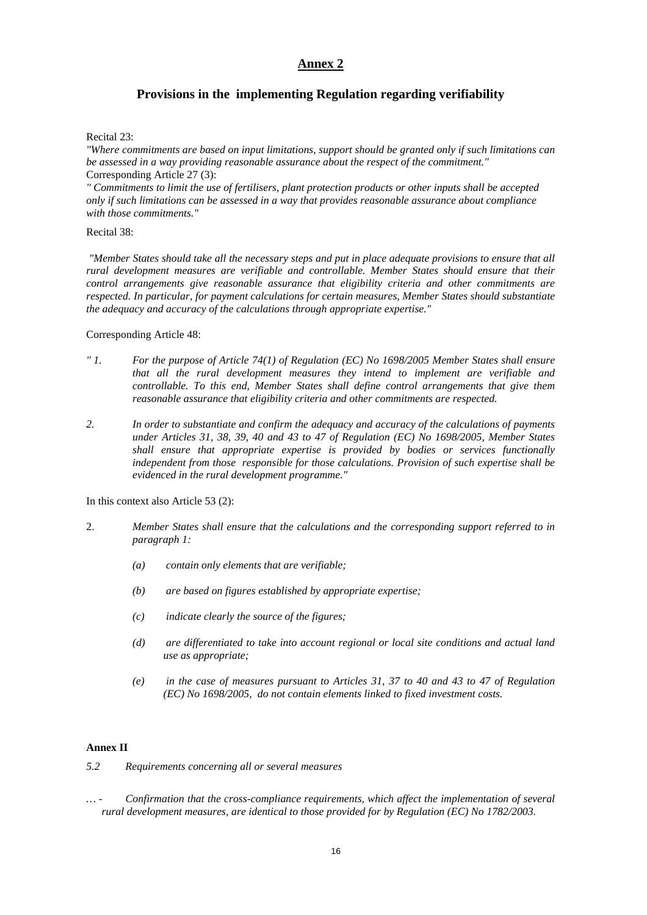### **Provisions in the implementing Regulation regarding verifiability**

#### Recital 23:

*"Where commitments are based on input limitations, support should be granted only if such limitations can be assessed in a way providing reasonable assurance about the respect of the commitment."*  Corresponding Article 27 (3):

*" Commitments to limit the use of fertilisers, plant protection products or other inputs shall be accepted only if such limitations can be assessed in a way that provides reasonable assurance about compliance with those commitments."* 

#### Recital 38:

 *"Member States should take all the necessary steps and put in place adequate provisions to ensure that all rural development measures are verifiable and controllable. Member States should ensure that their control arrangements give reasonable assurance that eligibility criteria and other commitments are respected. In particular, for payment calculations for certain measures, Member States should substantiate the adequacy and accuracy of the calculations through appropriate expertise."* 

#### Corresponding Article 48:

- *" 1. For the purpose of Article 74(1) of Regulation (EC) No 1698/2005 Member States shall ensure that all the rural development measures they intend to implement are verifiable and controllable. To this end, Member States shall define control arrangements that give them reasonable assurance that eligibility criteria and other commitments are respected.*
- *2. In order to substantiate and confirm the adequacy and accuracy of the calculations of payments under Articles 31, 38, 39, 40 and 43 to 47 of Regulation (EC) No 1698/2005, Member States shall ensure that appropriate expertise is provided by bodies or services functionally independent from those responsible for those calculations. Provision of such expertise shall be evidenced in the rural development programme."*

In this context also Article 53 (2):

- 2. *Member States shall ensure that the calculations and the corresponding support referred to in paragraph 1:* 
	- *(a) contain only elements that are verifiable;*
	- *(b) are based on figures established by appropriate expertise;*
	- *(c) indicate clearly the source of the figures;*
	- *(d) are differentiated to take into account regional or local site conditions and actual land use as appropriate;*
	- *(e) in the case of measures pursuant to Articles 31, 37 to 40 and 43 to 47 of Regulation (EC) No 1698/2005, do not contain elements linked to fixed investment costs.*

#### **Annex II**

- *5.2 Requirements concerning all or several measures*
- *… Confirmation that the cross-compliance requirements, which affect the implementation of several rural development measures, are identical to those provided for by Regulation (EC) No 1782/2003.*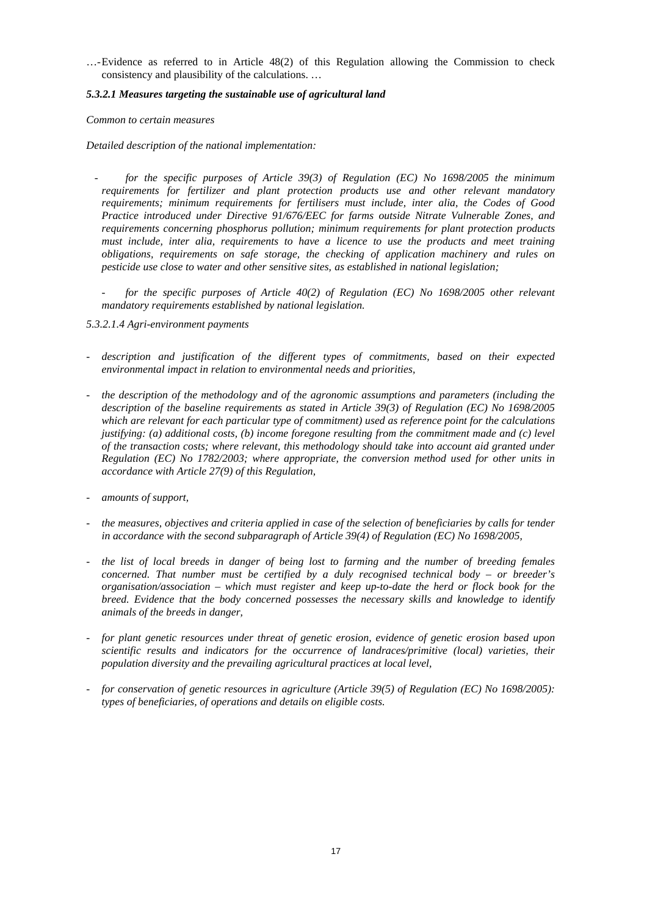…- Evidence as referred to in Article 48(2) of this Regulation allowing the Commission to check consistency and plausibility of the calculations. …

#### *5.3.2.1 Measures targeting the sustainable use of agricultural land*

*Common to certain measures* 

*Detailed description of the national implementation:* 

- for the specific purposes of Article 39(3) of Regulation (EC) No 1698/2005 the minimum *requirements for fertilizer and plant protection products use and other relevant mandatory requirements; minimum requirements for fertilisers must include, inter alia, the Codes of Good Practice introduced under Directive 91/676/EEC for farms outside Nitrate Vulnerable Zones, and requirements concerning phosphorus pollution; minimum requirements for plant protection products must include, inter alia, requirements to have a licence to use the products and meet training obligations, requirements on safe storage, the checking of application machinery and rules on pesticide use close to water and other sensitive sites, as established in national legislation;*
- for the specific purposes of Article 40(2) of Regulation (EC) No 1698/2005 other relevant *mandatory requirements established by national legislation.*
- *5.3.2.1.4 Agri-environment payments*
- *description and justification of the different types of commitments, based on their expected environmental impact in relation to environmental needs and priorities,*
- *the description of the methodology and of the agronomic assumptions and parameters (including the description of the baseline requirements as stated in Article 39(3) of Regulation (EC) No 1698/2005 which are relevant for each particular type of commitment) used as reference point for the calculations justifying: (a) additional costs, (b) income foregone resulting from the commitment made and (c) level of the transaction costs; where relevant, this methodology should take into account aid granted under Regulation (EC) No 1782/2003; where appropriate, the conversion method used for other units in accordance with Article 27(9) of this Regulation,*
- *amounts of support,*
- *the measures, objectives and criteria applied in case of the selection of beneficiaries by calls for tender in accordance with the second subparagraph of Article 39(4) of Regulation (EC) No 1698/2005,*
- *the list of local breeds in danger of being lost to farming and the number of breeding females concerned. That number must be certified by a duly recognised technical body – or breeder's organisation/association – which must register and keep up-to-date the herd or flock book for the breed. Evidence that the body concerned possesses the necessary skills and knowledge to identify animals of the breeds in danger,*
- *for plant genetic resources under threat of genetic erosion, evidence of genetic erosion based upon scientific results and indicators for the occurrence of landraces/primitive (local) varieties, their population diversity and the prevailing agricultural practices at local level,*
- *for conservation of genetic resources in agriculture (Article 39(5) of Regulation (EC) No 1698/2005): types of beneficiaries, of operations and details on eligible costs.*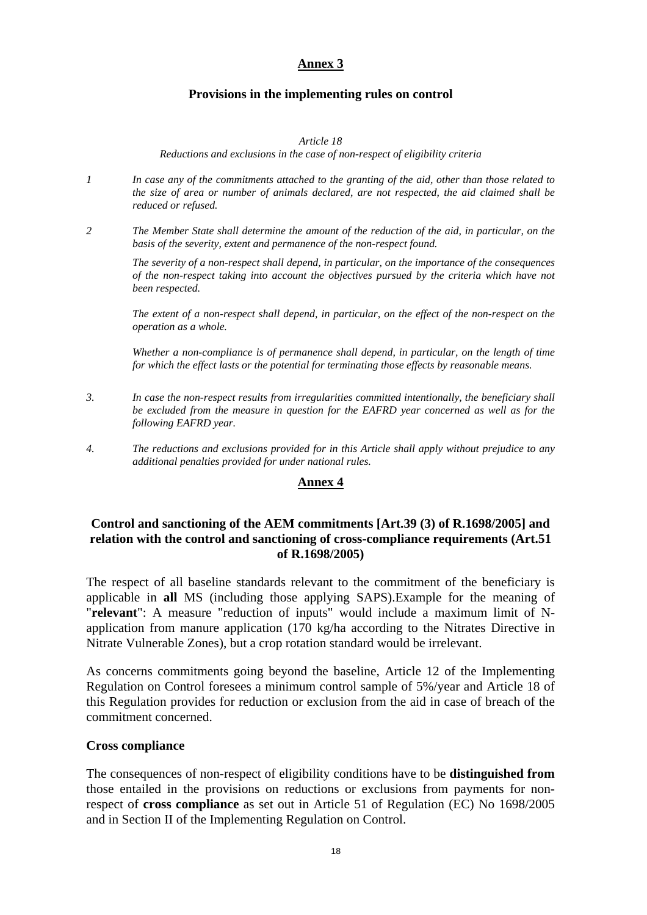# **Provisions in the implementing rules on control**

#### *Article 18*

*Reductions and exclusions in the case of non-respect of eligibility criteria* 

- *1 In case any of the commitments attached to the granting of the aid, other than those related to the size of area or number of animals declared, are not respected, the aid claimed shall be reduced or refused.*
- *2 The Member State shall determine the amount of the reduction of the aid, in particular, on the basis of the severity, extent and permanence of the non-respect found.*

*The severity of a non-respect shall depend, in particular, on the importance of the consequences of the non-respect taking into account the objectives pursued by the criteria which have not been respected.* 

*The extent of a non-respect shall depend, in particular, on the effect of the non-respect on the operation as a whole.* 

*Whether a non-compliance is of permanence shall depend, in particular, on the length of time for which the effect lasts or the potential for terminating those effects by reasonable means.* 

- *3. In case the non-respect results from irregularities committed intentionally, the beneficiary shall be excluded from the measure in question for the EAFRD year concerned as well as for the following EAFRD year.*
- *4. The reductions and exclusions provided for in this Article shall apply without prejudice to any additional penalties provided for under national rules.*

### **Annex 4**

# **Control and sanctioning of the AEM commitments [Art.39 (3) of R.1698/2005] and relation with the control and sanctioning of cross-compliance requirements (Art.51 of R.1698/2005)**

The respect of all baseline standards relevant to the commitment of the beneficiary is applicable in **all** MS (including those applying SAPS).Example for the meaning of "**relevant**": A measure "reduction of inputs" would include a maximum limit of Napplication from manure application (170 kg/ha according to the Nitrates Directive in Nitrate Vulnerable Zones), but a crop rotation standard would be irrelevant.

As concerns commitments going beyond the baseline, Article 12 of the Implementing Regulation on Control foresees a minimum control sample of 5%/year and Article 18 of this Regulation provides for reduction or exclusion from the aid in case of breach of the commitment concerned.

### **Cross compliance**

The consequences of non-respect of eligibility conditions have to be **distinguished from** those entailed in the provisions on reductions or exclusions from payments for nonrespect of **cross compliance** as set out in Article 51 of Regulation (EC) No 1698/2005 and in Section II of the Implementing Regulation on Control.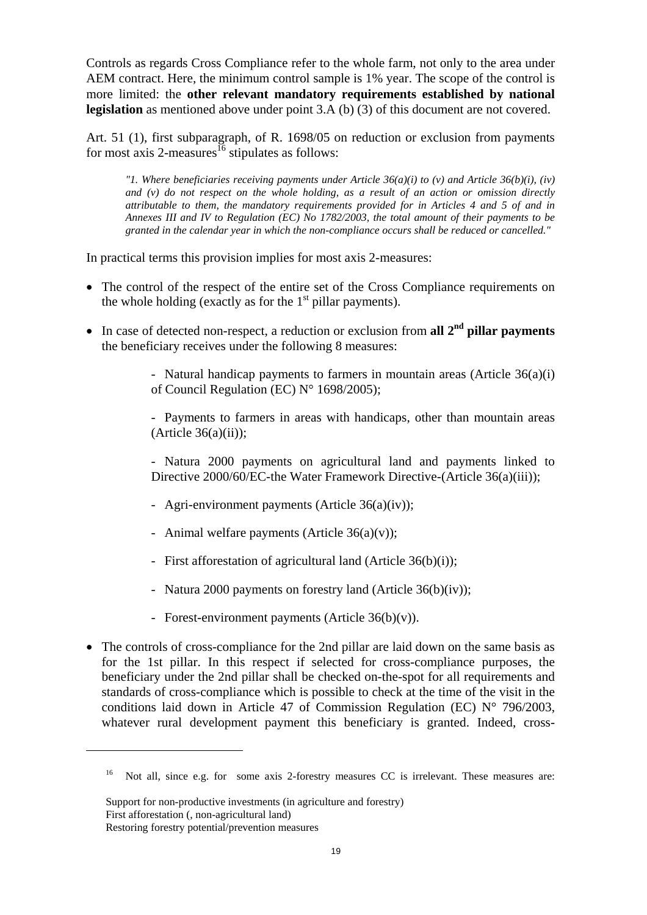Controls as regards Cross Compliance refer to the whole farm, not only to the area under AEM contract. Here, the minimum control sample is 1% year. The scope of the control is more limited: the **other relevant mandatory requirements established by national legislation** as mentioned above under point 3.A (b) (3) of this document are not covered.

Art. 51 (1), first subparagraph, of R. 1698/05 on reduction or exclusion from payments for most axis 2-measures<sup>16</sup> stipulates as follows:

*"1. Where beneficiaries receiving payments under Article 36(a)(i) to (v) and Article 36(b)(i), (iv) and (v) do not respect on the whole holding, as a result of an action or omission directly attributable to them, the mandatory requirements provided for in Articles 4 and 5 of and in Annexes III and IV to Regulation (EC) No 1782/2003, the total amount of their payments to be granted in the calendar year in which the non-compliance occurs shall be reduced or cancelled."* 

In practical terms this provision implies for most axis 2-measures:

- The control of the respect of the entire set of the Cross Compliance requirements on the whole holding (exactly as for the  $1<sup>st</sup>$  pillar payments).
- In case of detected non-respect, a reduction or exclusion from **all 2<sup>nd</sup> pillar payments** the beneficiary receives under the following 8 measures:

- Natural handicap payments to farmers in mountain areas (Article 36(a)(i) of Council Regulation (EC) N° 1698/2005);

- Payments to farmers in areas with handicaps, other than mountain areas  $(A$ rticle  $36(a)(ii)$ ;

- Natura 2000 payments on agricultural land and payments linked to Directive 2000/60/EC-the Water Framework Directive-(Article 36(a)(iii));

- Agri-environment payments (Article 36(a)(iv));
- Animal welfare payments (Article 36(a)(v));
- First afforestation of agricultural land (Article 36(b)(i));
- Natura 2000 payments on forestry land (Article 36(b)(iv));
- Forest-environment payments (Article 36(b)(v)).
- The controls of cross-compliance for the 2nd pillar are laid down on the same basis as for the 1st pillar. In this respect if selected for cross-compliance purposes, the beneficiary under the 2nd pillar shall be checked on-the-spot for all requirements and standards of cross-compliance which is possible to check at the time of the visit in the conditions laid down in Article 47 of Commission Regulation (EC)  $N^{\circ}$  796/2003, whatever rural development payment this beneficiary is granted. Indeed, cross-

Support for non-productive investments (in agriculture and forestry) First afforestation (, non-agricultural land) Restoring forestry potential/prevention measures

<sup>&</sup>lt;sup>16</sup> Not all, since e.g. for some axis 2-forestry measures CC is irrelevant. These measures are: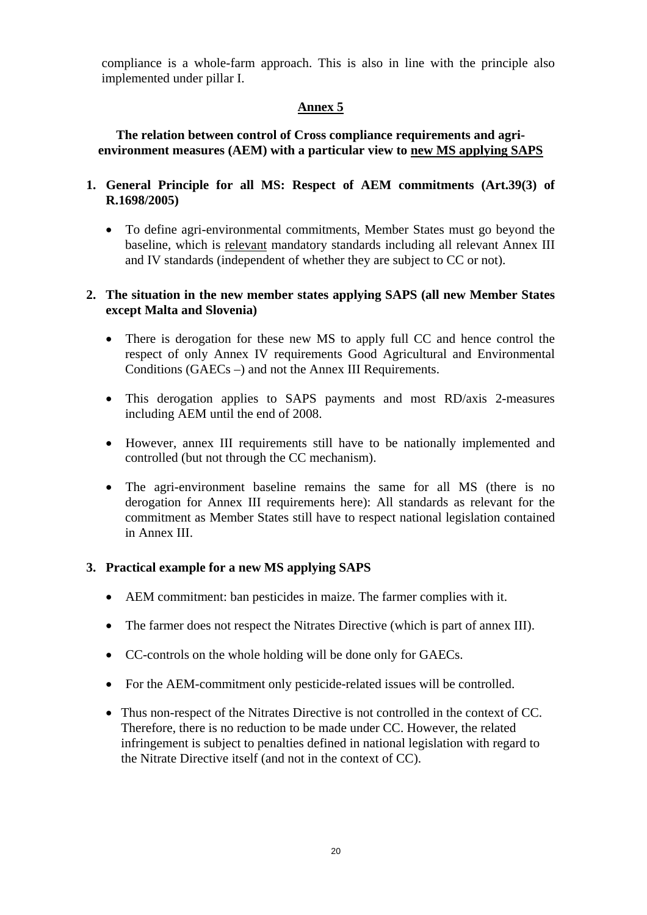compliance is a whole-farm approach. This is also in line with the principle also implemented under pillar I.

# **Annex 5**

**The relation between control of Cross compliance requirements and agrienvironment measures (AEM) with a particular view to new MS applying SAPS** 

- **1. General Principle for all MS: Respect of AEM commitments (Art.39(3) of R.1698/2005)** 
	- To define agri-environmental commitments, Member States must go beyond the baseline, which is relevant mandatory standards including all relevant Annex III and IV standards (independent of whether they are subject to CC or not).

# **2. The situation in the new member states applying SAPS (all new Member States except Malta and Slovenia)**

- There is derogation for these new MS to apply full CC and hence control the respect of only Annex IV requirements Good Agricultural and Environmental Conditions (GAECs –) and not the Annex III Requirements.
- This derogation applies to SAPS payments and most RD/axis 2-measures including AEM until the end of 2008.
- However, annex III requirements still have to be nationally implemented and controlled (but not through the CC mechanism).
- The agri-environment baseline remains the same for all MS (there is no derogation for Annex III requirements here): All standards as relevant for the commitment as Member States still have to respect national legislation contained in Annex III.

# **3. Practical example for a new MS applying SAPS**

- AEM commitment: ban pesticides in maize. The farmer complies with it.
- The farmer does not respect the Nitrates Directive (which is part of annex III).
- CC-controls on the whole holding will be done only for GAECs.
- For the AEM-commitment only pesticide-related issues will be controlled.
- Thus non-respect of the Nitrates Directive is not controlled in the context of CC. Therefore, there is no reduction to be made under CC. However, the related infringement is subject to penalties defined in national legislation with regard to the Nitrate Directive itself (and not in the context of CC).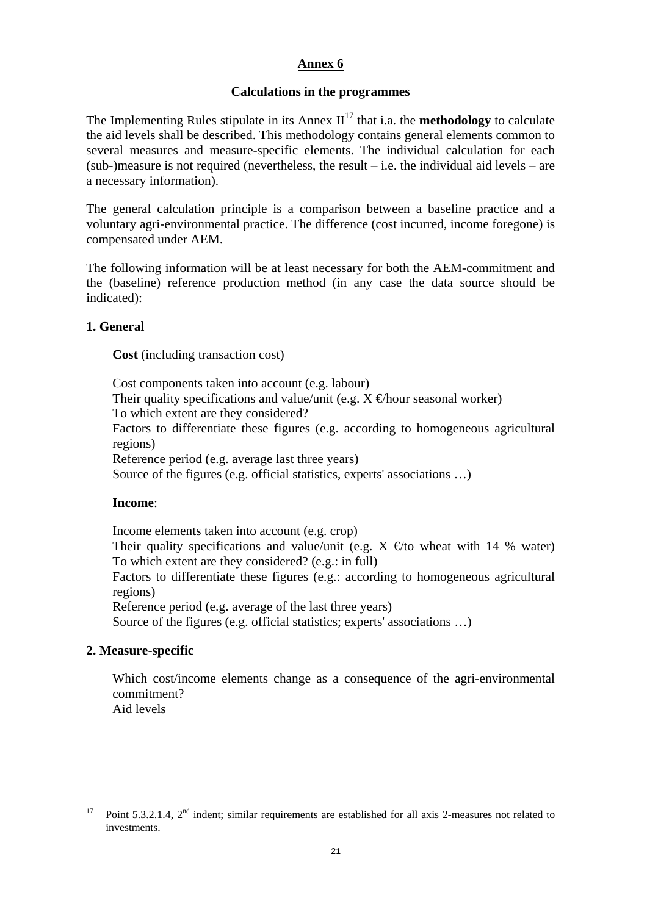# **Calculations in the programmes**

The Implementing Rules stipulate in its Annex  $II<sup>17</sup>$  that i.a. the **methodology** to calculate the aid levels shall be described. This methodology contains general elements common to several measures and measure-specific elements. The individual calculation for each  $(sub-)$  measure is not required (nevertheless, the result – i.e. the individual aid levels – are a necessary information).

The general calculation principle is a comparison between a baseline practice and a voluntary agri-environmental practice. The difference (cost incurred, income foregone) is compensated under AEM.

The following information will be at least necessary for both the AEM-commitment and the (baseline) reference production method (in any case the data source should be indicated):

### **1. General**

**Cost** (including transaction cost)

Cost components taken into account (e.g. labour) Their quality specifications and value/unit (e.g.  $X \in$ hour seasonal worker) To which extent are they considered? Factors to differentiate these figures (e.g. according to homogeneous agricultural regions) Reference period (e.g. average last three years) Source of the figures (e.g. official statistics, experts' associations …)

### **Income**:

Income elements taken into account (e.g. crop) Their quality specifications and value/unit (e.g.  $X \in \mathfrak{g}$  wheat with 14 % water) To which extent are they considered? (e.g.: in full) Factors to differentiate these figures (e.g.: according to homogeneous agricultural regions) Reference period (e.g. average of the last three years)

Source of the figures (e.g. official statistics; experts' associations …)

### **2. Measure-specific**

Which cost/income elements change as a consequence of the agri-environmental commitment?

Aid levels

<sup>&</sup>lt;sup>17</sup> Point 5.3.2.1.4,  $2<sup>nd</sup>$  indent; similar requirements are established for all axis 2-measures not related to investments.